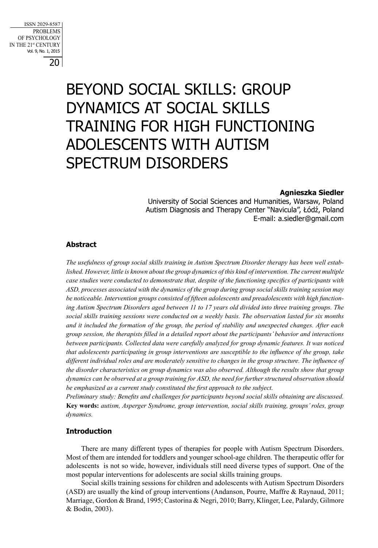20 ISSN 2029-8587 PROBLEMS OF PSYCHOLOGY IN THE 21st CENTURY Vol. 9, No. 1, 2015

# BEYOND SOCIAL SKILLS: GROUP DYNAMICS AT SOCIAL SKILLS TRAINING FOR HIGH FUNCTIONING ADOLESCENTS WITH AUTISM SPECTRUM DISORDERS

## **Agnieszka Siedler**

University of Social Sciences and Humanities, Warsaw, Poland Autism Diagnosis and Therapy Center "Navicula", Łódź, Poland E-mail: a.siedler@gmail.com

# **Abstract**

*The usefulness of group social skills training in Autism Spectrum Disorder therapy has been well established. However, little is known about the group dynamics of this kind of intervention. The current multiple case studies were conducted to demonstrate that, despite of the functioning specifics of participants with ASD, processes associated with the dynamics of the group during group social skills training session may be noticeable. Intervention groups consisted of fifteen adolescents and preadolescents with high functioning Autism Spectrum Disorders aged between 11 to 17 years old divided into three training groups. The social skills training sessions were conducted on a weekly basis. The observation lasted for six months and it included the formation of the group, the period of stability and unexpected changes. After each group session, the therapists filled in a detailed report about the participants' behavior and interactions between participants. Collected data were carefully analyzed for group dynamic features. It was noticed that adolescents participating in group interventions are susceptible to the influence of the group, take different individual roles and are moderately sensitive to changes in the group structure. The influence of the disorder characteristics on group dynamics was also observed. Although the results show that group dynamics can be observed at a group training for ASD, the need for further structured observation should be emphasized as a current study constituted the first approach to the subject.* 

*Preliminary study: Benefits and challenges for participants beyond social skills obtaining are discussed.* **Key words:** *autism, Asperger Syndrome, group intervention, social skills training, groups' roles, group dynamics.* 

# **Introduction**

There are many different types of therapies for people with Autism Spectrum Disorders. Most of them are intended for toddlers and younger school-age children. The therapeutic offer for adolescents is not so wide, however, individuals still need diverse types of support. One of the most popular interventions for adolescents are social skills training groups.

Social skills training sessions for children and adolescents with Autism Spectrum Disorders (ASD) are usually the kind of group interventions (Andanson, Pourre, Maffre & Raynaud, 2011; Marriage, Gordon & Brand, 1995; Castorina & Negri, 2010; Barry, Klinger, Lee, Palardy, Gilmore & Bodin, 2003).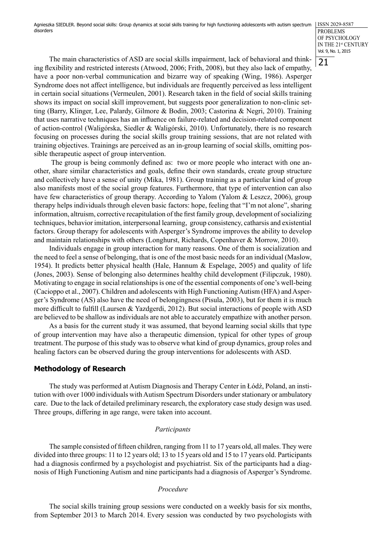Agnieszka SIEDLER. Beyond social skills: Group dynamics at social skills training for high functioning adolescents with autism spectrum  $\rm [ISS\,2029\text{-}8587]$ disorders

PROBLEMS OF PSYCHOLOGY IN THE 21st CENTURY Vol. 9, No. 1, 2015

21

The main characteristics of ASD are social skills impairment, lack of behavioral and thinking flexibility and restricted interests (Atwood, 2006; Frith, 2008), but they also lack of empathy, have a poor non-verbal communication and bizarre way of speaking (Wing, 1986). Asperger Syndrome does not affect intelligence, but individuals are frequently perceived as less intelligent in certain social situations (Vermeulen, 2001). Research taken in the field of social skills training shows its impact on social skill improvement, but suggests poor generalization to non-clinic setting (Barry, Klinger, Lee, Palardy, Gilmore & Bodin, 2003; Castorina & Negri, 2010). Training that uses narrative techniques has an influence on failure-related and decision-related component of action-control (Waligórska, Siedler & Waligórski, 2010). Unfortunately, there is no research focusing on processes during the social skills group training sessions, that are not related with training objectives. Trainings are perceived as an in-group learning of social skills, omitting possible therapeutic aspect of group intervention.

 The group is being commonly defined as: two or more people who interact with one another, share similar characteristics and goals, define their own standards, create group structure and collectively have a sense of unity (Mika, 1981). Group training as a particular kind of group also manifests most of the social group features. Furthermore, that type of intervention can also have few characteristics of group therapy. According to Yalom (Yalom & Leszcz, 2006), group therapy helps individuals through eleven basic factors: hope, feeling that "I'm not alone", sharing information, altruism, corrective recapitulation of the first family group, development of socializing techniques, behavior imitation, interpersonal learning, group consistency, catharsis and existential factors. Group therapy for adolescents with Asperger's Syndrome improves the ability to develop and maintain relationships with others (Longhurst, Richards, Copenhaver & Morrow, 2010).

Individuals engage in group interaction for many reasons. One of them is socialization and the need to feel a sense of belonging, that is one of the most basic needs for an individual (Maslow, 1954). It predicts better physical health (Hale, Hannum & Espelage, 2005) and quality of life (Jones, 2003). Sense of belonging also determines healthy child development (Filipczuk, 1980). Motivating to engage in social relationships is one of the essential components of one's well-being (Cacioppo et al., 2007). Children and adolescents with High Functioning Autism (HFA) and Asperger's Syndrome (AS) also have the need of belongingness (Pisula, 2003), but for them it is much more difficult to fulfill (Laursen & Yazdgerdi, 2012). But social interactions of people with ASD are believed to be shallow as individuals are not able to accurately empathize with another person.

As a basis for the current study it was assumed, that beyond learning social skills that type of group intervention may have also a therapeutic dimension, typical for other types of group treatment. The purpose of this study was to observe what kind of group dynamics, group roles and healing factors can be observed during the group interventions for adolescents with ASD.

## **Methodology of Research**

The study was performed at Autism Diagnosis and Therapy Center in Łódź, Poland, an institution with over 1000 individuals with Autism Spectrum Disorders under stationary or ambulatory care. Due to the lack of detailed preliminary research, the exploratory case study design was used. Three groups, differing in age range, were taken into account.

#### *Participants*

The sample consisted of fifteen children, ranging from 11 to 17 years old, all males. They were divided into three groups: 11 to 12 years old; 13 to 15 years old and 15 to 17 years old. Participants had a diagnosis confirmed by a psychologist and psychiatrist. Six of the participants had a diagnosis of High Functioning Autism and nine participants had a diagnosis of Asperger's Syndrome.

### *Procedure*

The social skills training group sessions were conducted on a weekly basis for six months, from September 2013 to March 2014. Every session was conducted by two psychologists with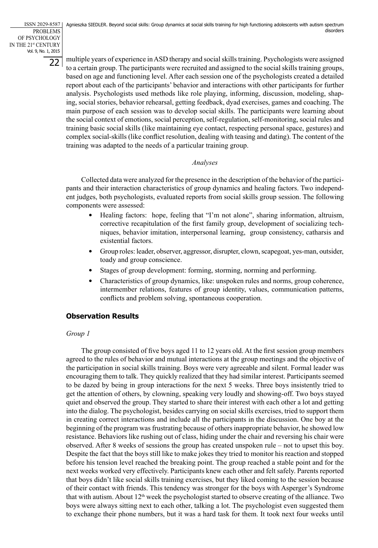22 PROBLEMS OF PSYCHOLOGY IN THE 21st CENTURY Vol. 9, No. 1, 2015

multiple years of experience in ASD therapy and social skills training. Psychologists were assigned to a certain group. The participants were recruited and assigned to the social skills training groups, based on age and functioning level. After each session one of the psychologists created a detailed report about each of the participants' behavior and interactions with other participants for further analysis. Psychologists used methods like role playing, informing, discussion, modeling, shaping, social stories, behavior rehearsal, getting feedback, dyad exercises, games and coaching. The main purpose of each session was to develop social skills. The participants were learning about the social context of emotions, social perception, self-regulation, self-monitoring, social rules and training basic social skills (like maintaining eye contact, respecting personal space, gestures) and complex social-skills (like conflict resolution, dealing with teasing and dating). The content of the training was adapted to the needs of a particular training group.

# *Analyses*

Collected data were analyzed for the presence in the description of the behavior of the participants and their interaction characteristics of group dynamics and healing factors. Two independent judges, both psychologists, evaluated reports from social skills group session. The following components were assessed:

- Healing factors: hope, feeling that "I'm not alone", sharing information, altruism, corrective recapitulation of the first family group, development of socializing techniques, behavior imitation, interpersonal learning, group consistency, catharsis and existential factors.
- Group roles: leader, observer, aggressor, disrupter, clown, scapegoat, yes-man, outsider, toady and group conscience.
- Stages of group development: forming, storming, norming and performing.
- Characteristics of group dynamics, like: unspoken rules and norms, group coherence, intermember relations, features of group identity, values, communication patterns, conflicts and problem solving, spontaneous cooperation.

# **Observation Results**

# *Group 1*

The group consisted of five boys aged 11 to 12 years old. At the first session group members agreed to the rules of behavior and mutual interactions at the group meetings and the objective of the participation in social skills training. Boys were very agreeable and silent. Formal leader was encouraging them to talk. They quickly realized that they had similar interest. Participants seemed to be dazed by being in group interactions for the next 5 weeks. Three boys insistently tried to get the attention of others, by clowning, speaking very loudly and showing-off. Two boys stayed quiet and observed the group. They started to share their interest with each other a lot and getting into the dialog. The psychologist, besides carrying on social skills exercises, tried to support them in creating correct interactions and include all the participants in the discussion. One boy at the beginning of the program was frustrating because of others inappropriate behavior, he showed low resistance. Behaviors like rushing out of class, hiding under the chair and reversing his chair were observed. After 8 weeks of sessions the group has created unspoken rule – not to upset this boy. Despite the fact that the boys still like to make jokes they tried to monitor his reaction and stopped before his tension level reached the breaking point. The group reached a stable point and for the next weeks worked very effectively. Participants knew each other and felt safely. Parents reported that boys didn't like social skills training exercises, but they liked coming to the session because of their contact with friends. This tendency was stronger for the boys with Asperger's Syndrome that with autism. About  $12<sup>th</sup>$  week the psychologist started to observe creating of the alliance. Two boys were always sitting next to each other, talking a lot. The psychologist even suggested them to exchange their phone numbers, but it was a hard task for them. It took next four weeks until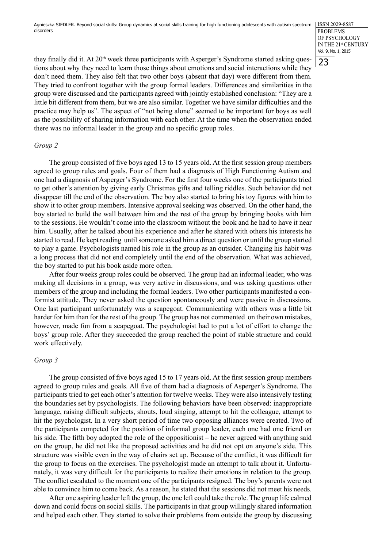23 PROBLEMS OF PSYCHOLOGY IN THE 21st CENTURY Vol. 9, No. 1, 2015

they finally did it. At  $20<sup>th</sup>$  week three participants with Asperger's Syndrome started asking questions about why they need to learn those things about emotions and social interactions while they don't need them. They also felt that two other boys (absent that day) were different from them. They tried to confront together with the group formal leaders. Differences and similarities in the group were discussed and the participants agreed with jointly established conclusion: "They are a little bit different from them, but we are also similar. Together we have similar difficulties and the practice may help us". The aspect of "not being alone" seemed to be important for boys as well as the possibility of sharing information with each other. At the time when the observation ended there was no informal leader in the group and no specific group roles.

## *Group 2*

The group consisted of five boys aged 13 to 15 years old. At the first session group members agreed to group rules and goals. Four of them had a diagnosis of High Functioning Autism and one had a diagnosis of Asperger's Syndrome. For the first four weeks one of the participants tried to get other's attention by giving early Christmas gifts and telling riddles. Such behavior did not disappear till the end of the observation. The boy also started to bring his toy figures with him to show it to other group members. Intensive approval seeking was observed. On the other hand, the boy started to build the wall between him and the rest of the group by bringing books with him to the sessions. He wouldn't come into the classroom without the book and he had to have it near him. Usually, after he talked about his experience and after he shared with others his interests he started to read. He kept reading until someone asked him a direct question or until the group started to play a game. Psychologists named his role in the group as an outsider. Changing his habit was a long process that did not end completely until the end of the observation. What was achieved, the boy started to put his book aside more often.

After four weeks group roles could be observed. The group had an informal leader, who was making all decisions in a group, was very active in discussions, and was asking questions other members of the group and including the formal leaders. Two other participants manifested a conformist attitude. They never asked the question spontaneously and were passive in discussions. One last participant unfortunately was a scapegoat. Communicating with others was a little bit harder for him than for the rest of the group. The group has not commented on their own mistakes, however, made fun from a scapegoat. The psychologist had to put a lot of effort to change the boys' group role. After they succeeded the group reached the point of stable structure and could work effectively.

## *Group 3*

The group consisted of five boys aged 15 to 17 years old. At the first session group members agreed to group rules and goals. All five of them had a diagnosis of Asperger's Syndrome. The participants tried to get each other's attention for twelve weeks. They were also intensively testing the boundaries set by psychologists. The following behaviors have been observed: inappropriate language, raising difficult subjects, shouts, loud singing, attempt to hit the colleague, attempt to hit the psychologist. In a very short period of time two opposing alliances were created. Two of the participants competed for the position of informal group leader, each one had one friend on his side. The fifth boy adopted the role of the oppositionist – he never agreed with anything said on the group, he did not like the proposed activities and he did not opt on anyone's side. This structure was visible even in the way of chairs set up. Because of the conflict, it was difficult for the group to focus on the exercises. The psychologist made an attempt to talk about it. Unfortunately, it was very difficult for the participants to realize their emotions in relation to the group. The conflict escalated to the moment one of the participants resigned. The boy's parents were not able to convince him to come back. As a reason, he stated that the sessions did not meet his needs.

After one aspiring leader left the group, the one left could take the role. The group life calmed down and could focus on social skills. The participants in that group willingly shared information and helped each other. They started to solve their problems from outside the group by discussing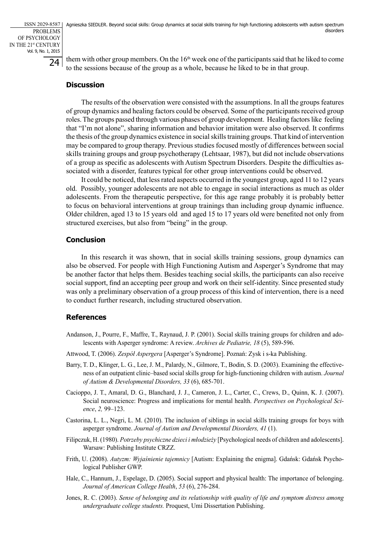24 PROBLEMS OF PSYCHOLOGY IN THE 21st CENTURY Vol. 9, No. 1, 2015

them with other group members. On the  $16<sup>th</sup>$  week one of the participants said that he liked to come to the sessions because of the group as a whole, because he liked to be in that group.

# **Discussion**

The results of the observation were consisted with the assumptions. In all the groups features of group dynamics and healing factors could be observed. Some of the participants received group roles. The groups passed through various phases of group development. Healing factors like feeling that "I'm not alone", sharing information and behavior imitation were also observed. It confirms the thesis of the group dynamics existence in social skills training groups. That kind of intervention may be compared to group therapy. Previous studies focused mostly of differences between social skills training groups and group psychotherapy (Lehtsaar, 1987), but did not include observations of a group as specific as adolescents with Autism Spectrum Disorders. Despite the difficulties associated with a disorder, features typical for other group interventions could be observed.

It could be noticed, that less rated aspects occurred in the youngest group, aged 11 to 12 years old. Possibly, younger adolescents are not able to engage in social interactions as much as older adolescents. From the therapeutic perspective, for this age range probably it is probably better to focus on behavioral interventions at group trainings than including group dynamic influence. Older children, aged 13 to 15 years old and aged 15 to 17 years old were benefited not only from structured exercises, but also from "being" in the group.

# **Conclusion**

In this research it was shown, that in social skills training sessions, group dynamics can also be observed. For people with High Functioning Autism and Asperger's Syndrome that may be another factor that helps them. Besides teaching social skills, the participants can also receive social support, find an accepting peer group and work on their self-identity. Since presented study was only a preliminary observation of a group process of this kind of intervention, there is a need to conduct further research, including structured observation.

# **References**

- Andanson, J., Pourre, F., Maffre, T., Raynaud, J. P. (2001). Social skills training groups for children and adolescents with Asperger syndrome: A review. *Archives de Pediatrie, 18* (5), 589-596.
- Attwood, T. (2006). *Zespół Aspergera* [Asperger's Syndrome]. Poznań: Zysk i s-ka Publishing.
- Barry, T. D., Klinger, L. G., Lee, J. M., Palardy, N., Gilmore, T., Bodin, S. D. (2003). Examining the effectiveness of an outpatient clinic–based social skills group for high-functioning children with autism. *Journal of Autism & Developmental Disorders, 33* (6), 685-701.
- Cacioppo, J. T., Amaral, D. G., Blanchard, J. J., Cameron, J. L., Carter, C., Crews, D., Quinn, K. J. (2007). Social neuroscience: Progress and implications for mental health. *Perspectives on Psychological Science*, *2,* 99–123.
- Castorina, L. L., Negri, L. M. (2010). The inclusion of siblings in social skills training groups for boys with asperger syndrome. *Journal of Autism and Developmental Disorders, 41* (1).
- Filipczuk, H. (1980). *Potrzeby psychiczne dzieci i młodzieży* [Psychological needs of children and adolescents]. Warsaw: Publishing Institute CRZZ.
- Frith, U. (2008). *Autyzm: Wyjaśnienie tajemnicy* [Autism: Explaining the enigma]. Gdańsk: Gdańsk Psychological Publisher GWP.
- Hale, C., Hannum, J., Espelage, D. (2005). Social support and physical health: The importance of belonging. *Journal of American College Health*, *53* (6), 276-284.
- Jones, R. C. (2003). *Sense of belonging and its relationship with quality of life and symptom distress among undergraduate college students.* Proquest, Umi Dissertation Publishing.